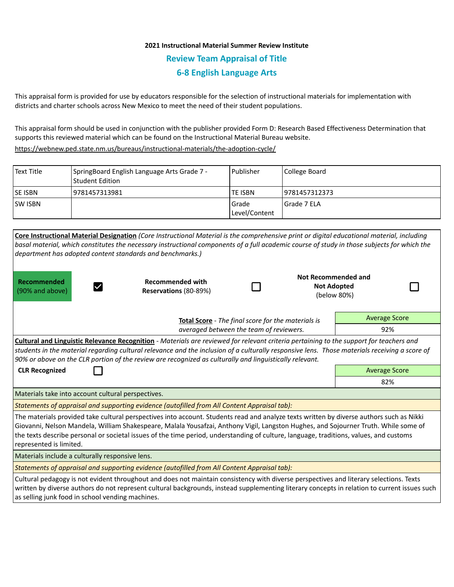## **2021 Instructional Material Summer Review Institute Review Team Appraisal of Title 6-8 English Language Arts**

This appraisal form is provided for use by educators responsible for the selection of instructional materials for implementation with districts and charter schools across New Mexico to meet the need of their student populations.

This appraisal form should be used in conjunction with the publisher provided Form D: Research Based Effectiveness Determination that supports this reviewed material which can be found on the Instructional Material Bureau website.

<https://webnew.ped.state.nm.us/bureaus/instructional-materials/the-adoption-cycle/>

| Text Title     | SpringBoard English Language Arts Grade 7 -<br>l Student Edition | l Publisher              | College Board  |
|----------------|------------------------------------------------------------------|--------------------------|----------------|
| <b>SE ISBN</b> | 9781457313981                                                    | <b>TE ISBN</b>           | 19781457312373 |
| <b>SW ISBN</b> |                                                                  | l Grade<br>Level/Content | l Grade 7 ELA  |

| department has adopted content standards and benchmarks.)                                                                                                                                                                                                                                                                                                                                                                                            | Core Instructional Material Designation (Core Instructional Material is the comprehensive print or digital educational material, including<br>basal material, which constitutes the necessary instructional components of a full academic course of study in those subjects for which the |  |                                                          |                      |  |  |  |  |
|------------------------------------------------------------------------------------------------------------------------------------------------------------------------------------------------------------------------------------------------------------------------------------------------------------------------------------------------------------------------------------------------------------------------------------------------------|-------------------------------------------------------------------------------------------------------------------------------------------------------------------------------------------------------------------------------------------------------------------------------------------|--|----------------------------------------------------------|----------------------|--|--|--|--|
| Recommended<br>(90% and above)                                                                                                                                                                                                                                                                                                                                                                                                                       | <b>Recommended with</b><br>Reservations (80-89%)                                                                                                                                                                                                                                          |  | Not Recommended and<br><b>Not Adopted</b><br>(below 80%) |                      |  |  |  |  |
| <b>Total Score</b> - The final score for the materials is                                                                                                                                                                                                                                                                                                                                                                                            |                                                                                                                                                                                                                                                                                           |  |                                                          | <b>Average Score</b> |  |  |  |  |
| averaged between the team of reviewers.                                                                                                                                                                                                                                                                                                                                                                                                              |                                                                                                                                                                                                                                                                                           |  |                                                          | 92%                  |  |  |  |  |
| <b>Cultural and Linguistic Relevance Recognition</b> - Materials are reviewed for relevant criteria pertaining to the support for teachers and<br>students in the material regarding cultural relevance and the inclusion of a culturally responsive lens. Those materials receiving a score of<br>90% or above on the CLR portion of the review are recognized as culturally and linguistically relevant.                                           |                                                                                                                                                                                                                                                                                           |  |                                                          |                      |  |  |  |  |
| <b>CLR Recognized</b>                                                                                                                                                                                                                                                                                                                                                                                                                                | <b>Average Score</b>                                                                                                                                                                                                                                                                      |  |                                                          |                      |  |  |  |  |
|                                                                                                                                                                                                                                                                                                                                                                                                                                                      | 82%                                                                                                                                                                                                                                                                                       |  |                                                          |                      |  |  |  |  |
| Materials take into account cultural perspectives.                                                                                                                                                                                                                                                                                                                                                                                                   |                                                                                                                                                                                                                                                                                           |  |                                                          |                      |  |  |  |  |
| Statements of appraisal and supporting evidence (autofilled from All Content Appraisal tab):                                                                                                                                                                                                                                                                                                                                                         |                                                                                                                                                                                                                                                                                           |  |                                                          |                      |  |  |  |  |
| The materials provided take cultural perspectives into account. Students read and analyze texts written by diverse authors such as Nikki<br>Giovanni, Nelson Mandela, William Shakespeare, Malala Yousafzai, Anthony Vigil, Langston Hughes, and Sojourner Truth. While some of<br>the texts describe personal or societal issues of the time period, understanding of culture, language, traditions, values, and customs<br>represented is limited. |                                                                                                                                                                                                                                                                                           |  |                                                          |                      |  |  |  |  |
| Materials include a culturally responsive lens.                                                                                                                                                                                                                                                                                                                                                                                                      |                                                                                                                                                                                                                                                                                           |  |                                                          |                      |  |  |  |  |
| Statements of appraisal and supporting evidence (autofilled from All Content Appraisal tab):                                                                                                                                                                                                                                                                                                                                                         |                                                                                                                                                                                                                                                                                           |  |                                                          |                      |  |  |  |  |
| Cultural pedagogy is not evident throughout and does not maintain consistency with diverse perspectives and literary selections. Texts<br>written by diverse authors do not represent cultural backgrounds, instead supplementing literary concepts in relation to current issues such<br>as selling junk food in school vending machines.                                                                                                           |                                                                                                                                                                                                                                                                                           |  |                                                          |                      |  |  |  |  |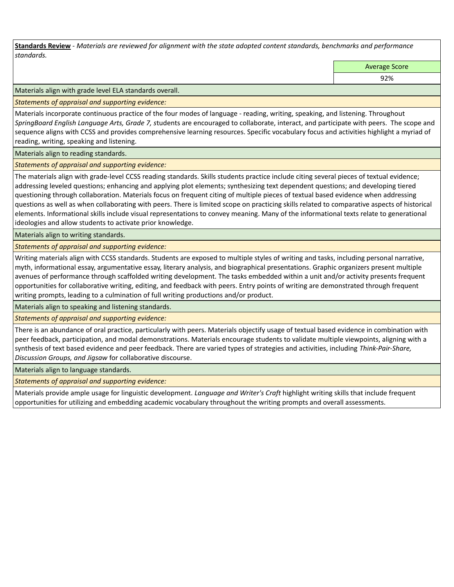**Standards Review** *- Materials are reviewed for alignment with the state adopted content standards, benchmarks and performance standards.*

Average Score

92%

Materials align with grade level ELA standards overall.

*Statements of appraisal and supporting evidence:* 

Materials incorporate continuous practice of the four modes of language - reading, writing, speaking, and listening. Throughout *SpringBoard English Language Arts, Grade 7, s*tudents are encouraged to collaborate, interact, and participate with peers. The scope and sequence aligns with CCSS and provides comprehensive learning resources. Specific vocabulary focus and activities highlight a myriad of reading, writing, speaking and listening.

Materials align to reading standards.

*Statements of appraisal and supporting evidence:* 

The materials align with grade-level CCSS reading standards. Skills students practice include citing several pieces of textual evidence; addressing leveled questions; enhancing and applying plot elements; synthesizing text dependent questions; and developing tiered questioning through collaboration. Materials focus on frequent citing of multiple pieces of textual based evidence when addressing questions as well as when collaborating with peers. There is limited scope on practicing skills related to comparative aspects of historical elements. Informational skills include visual representations to convey meaning. Many of the informational texts relate to generational ideologies and allow students to activate prior knowledge.

Materials align to writing standards.

*Statements of appraisal and supporting evidence:* 

Writing materials align with CCSS standards. Students are exposed to multiple styles of writing and tasks, including personal narrative, myth, informational essay, argumentative essay, literary analysis, and biographical presentations. Graphic organizers present multiple avenues of performance through scaffolded writing development. The tasks embedded within a unit and/or activity presents frequent opportunities for collaborative writing, editing, and feedback with peers. Entry points of writing are demonstrated through frequent writing prompts, leading to a culmination of full writing productions and/or product.

Materials align to speaking and listening standards.

*Statements of appraisal and supporting evidence:* 

There is an abundance of oral practice, particularly with peers. Materials objectify usage of textual based evidence in combination with peer feedback, participation, and modal demonstrations. Materials encourage students to validate multiple viewpoints, aligning with a synthesis of text based evidence and peer feedback. There are varied types of strategies and activities, including *Think-Pair-Share, Discussion Groups, and Jigsaw* for collaborative discourse.

Materials align to language standards.

*Statements of appraisal and supporting evidence:* 

Materials provide ample usage for linguistic development. *Language and Writer's Craft* highlight writing skills that include frequent opportunities for utilizing and embedding academic vocabulary throughout the writing prompts and overall assessments.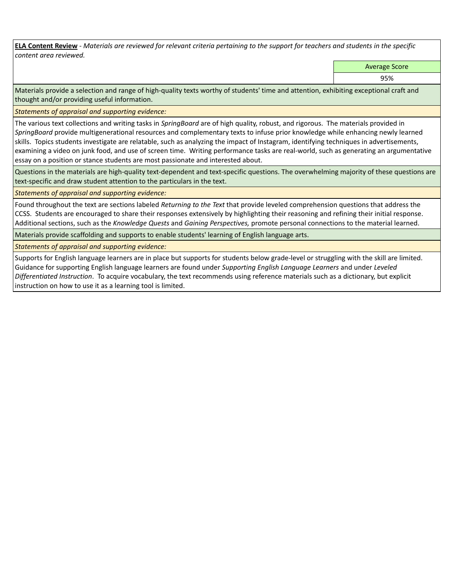**ELA Content Review** *- Materials are reviewed for relevant criteria pertaining to the support for teachers and students in the specific content area reviewed.*

Average Score

95%

Materials provide a selection and range of high-quality texts worthy of students' time and attention, exhibiting exceptional craft and thought and/or providing useful information.

*Statements of appraisal and supporting evidence:* 

The various text collections and writing tasks in *SpringBoard* are of high quality, robust, and rigorous. The materials provided in *SpringBoard* provide multigenerational resources and complementary texts to infuse prior knowledge while enhancing newly learned skills. Topics students investigate are relatable, such as analyzing the impact of Instagram, identifying techniques in advertisements, examining a video on junk food, and use of screen time. Writing performance tasks are real-world, such as generating an argumentative essay on a position or stance students are most passionate and interested about.

Questions in the materials are high-quality text-dependent and text-specific questions. The overwhelming majority of these questions are text-specific and draw student attention to the particulars in the text.

*Statements of appraisal and supporting evidence:* 

Found throughout the text are sections labeled *Returning to the Text* that provide leveled comprehension questions that address the CCSS. Students are encouraged to share their responses extensively by highlighting their reasoning and refining their initial response. Additional sections, such as the *Knowledge Quests* and *Gaining Perspectives,* promote personal connections to the material learned.

Materials provide scaffolding and supports to enable students' learning of English language arts.

*Statements of appraisal and supporting evidence:* 

Supports for English language learners are in place but supports for students below grade-level or struggling with the skill are limited. Guidance for supporting English language learners are found under *Supporting English Language Learners* and under *Leveled Differentiated Instruction*. To acquire vocabulary, the text recommends using reference materials such as a dictionary, but explicit instruction on how to use it as a learning tool is limited.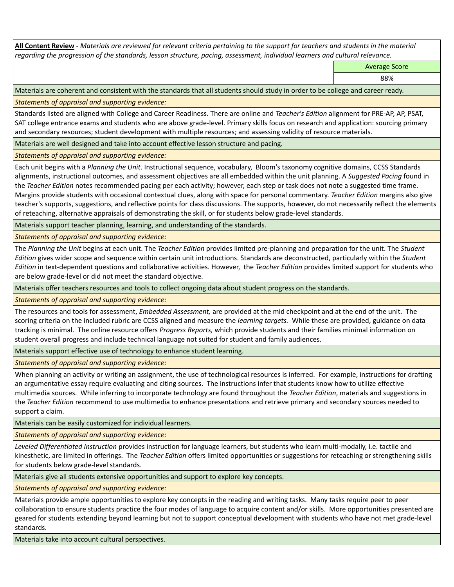**All Content Review** *- Materials are reviewed for relevant criteria pertaining to the support for teachers and students in the material regarding the progression of the standards, lesson structure, pacing, assessment, individual learners and cultural relevance.*

Average Score

88%

Materials are coherent and consistent with the standards that all students should study in order to be college and career ready.

*Statements of appraisal and supporting evidence:*

Standards listed are aligned with College and Career Readiness. There are online and *Teacher's Edition* alignment for PRE-AP, AP, PSAT, SAT college entrance exams and students who are above grade-level. Primary skills focus on research and application: sourcing primary and secondary resources; student development with multiple resources; and assessing validity of resource materials.

Materials are well designed and take into account effective lesson structure and pacing.

*Statements of appraisal and supporting evidence:*

Each unit begins with a *Planning the Unit*. Instructional sequence, vocabulary, Bloom's taxonomy cognitive domains, CCSS Standards alignments, instructional outcomes, and assessment objectives are all embedded within the unit planning. A *Suggested Pacing* found in the *Teacher Edition* notes recommended pacing per each activity; however, each step or task does not note a suggested time frame. Margins provide students with occasional contextual clues, along with space for personal commentary. *Teacher Edition* margins also give teacher's supports, suggestions, and reflective points for class discussions. The supports, however, do not necessarily reflect the elements of reteaching, alternative appraisals of demonstrating the skill, or for students below grade-level standards.

Materials support teacher planning, learning, and understanding of the standards.

*Statements of appraisal and supporting evidence:*

The *Planning the Unit* begins at each unit. The *Teacher Edition* provides limited pre-planning and preparation for the unit. The *Student Edition* gives wider scope and sequence within certain unit introductions. Standards are deconstructed, particularly within the *Student Edition* in text-dependent questions and collaborative activities. However, the *Teacher Edition* provides limited support for students who are below grade-level or did not meet the standard objective.

Materials offer teachers resources and tools to collect ongoing data about student progress on the standards.

*Statements of appraisal and supporting evidence:*

The resources and tools for assessment, *Embedded Assessment,* are provided at the mid checkpoint and at the end of the unit. The scoring criteria on the included rubric are CCSS aligned and measure the *learning targets.* While these are provided, guidance on data tracking is minimal. The online resource offers *Progress Reports,* which provide students and their families minimal information on student overall progress and include technical language not suited for student and family audiences.

Materials support effective use of technology to enhance student learning.

*Statements of appraisal and supporting evidence:*

When planning an activity or writing an assignment, the use of technological resources is inferred. For example, instructions for drafting an argumentative essay require evaluating and citing sources. The instructions infer that students know how to utilize effective multimedia sources. While inferring to incorporate technology are found throughout the *Teacher Edition*, materials and suggestions in the *Teacher Edition* recommend to use multimedia to enhance presentations and retrieve primary and secondary sources needed to support a claim.

Materials can be easily customized for individual learners.

*Statements of appraisal and supporting evidence:* 

*Leveled Differentiated Instruction* provides instruction for language learners, but students who learn multi-modally, i.e. tactile and kinesthetic, are limited in offerings. The *Teacher Edition* offers limited opportunities or suggestions for reteaching or strengthening skills for students below grade-level standards.

Materials give all students extensive opportunities and support to explore key concepts.

*Statements of appraisal and supporting evidence:*

Materials provide ample opportunities to explore key concepts in the reading and writing tasks. Many tasks require peer to peer collaboration to ensure students practice the four modes of language to acquire content and/or skills. More opportunities presented are geared for students extending beyond learning but not to support conceptual development with students who have not met grade-level standards.

Materials take into account cultural perspectives.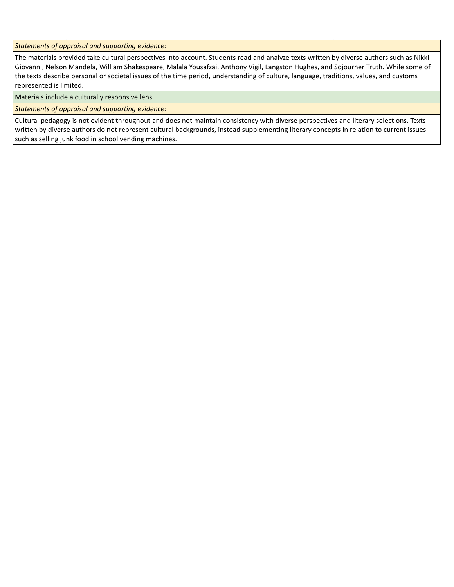*Statements of appraisal and supporting evidence:*

The materials provided take cultural perspectives into account. Students read and analyze texts written by diverse authors such as Nikki Giovanni, Nelson Mandela, William Shakespeare, Malala Yousafzai, Anthony Vigil, Langston Hughes, and Sojourner Truth. While some of the texts describe personal or societal issues of the time period, understanding of culture, language, traditions, values, and customs represented is limited.

Materials include a culturally responsive lens.

*Statements of appraisal and supporting evidence:*

Cultural pedagogy is not evident throughout and does not maintain consistency with diverse perspectives and literary selections. Texts written by diverse authors do not represent cultural backgrounds, instead supplementing literary concepts in relation to current issues such as selling junk food in school vending machines.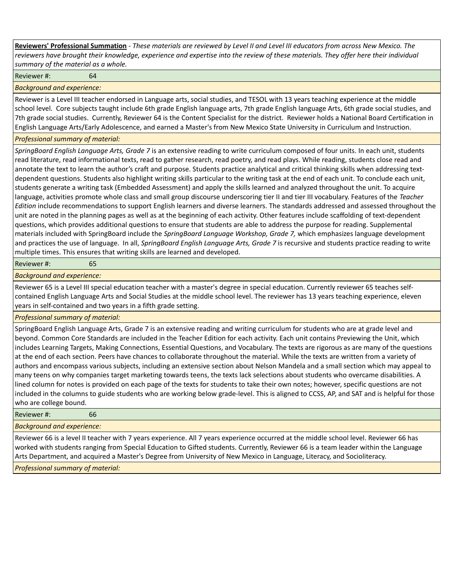**Reviewers' Professional Summation** *- These materials are reviewed by Level II and Level III educators from across New Mexico. The reviewers have brought their knowledge, experience and expertise into the review of these materials. They offer here their individual summary of the material as a whole.*

Reviewer #: 64

*Background and experience:*

Reviewer is a Level III teacher endorsed in Language arts, social studies, and TESOL with 13 years teaching experience at the middle school level. Core subjects taught include 6th grade English language arts, 7th grade English language Arts, 6th grade social studies, and 7th grade social studies. Currently, Reviewer 64 is the Content Specialist for the district. Reviewer holds a National Board Certification in English Language Arts/Early Adolescence, and earned a Master's from New Mexico State University in Curriculum and Instruction.

## *Professional summary of material:*

*SpringBoard English Language Arts, Grade 7* is an extensive reading to write curriculum composed of four units. In each unit, students read literature, read informational texts, read to gather research, read poetry, and read plays. While reading, students close read and annotate the text to learn the author's craft and purpose. Students practice analytical and critical thinking skills when addressing textdependent questions. Students also highlight writing skills particular to the writing task at the end of each unit. To conclude each unit, students generate a writing task (Embedded Assessment) and apply the skills learned and analyzed throughout the unit. To acquire language, activities promote whole class and small group discourse underscoring tier II and tier III vocabulary. Features of the *Teacher Edition* include recommendations to support English learners and diverse learners. The standards addressed and assessed throughout the unit are noted in the planning pages as well as at the beginning of each activity. Other features include scaffolding of text-dependent questions, which provides additional questions to ensure that students are able to address the purpose for reading. Supplemental materials included with SpringBoard include the *SpringBoard Language Workshop, Grade 7,* which emphasizes language development and practices the use of language. In all, *SpringBoard English Language Arts, Grade 7* is recursive and students practice reading to write multiple times. This ensures that writing skills are learned and developed.

## Reviewer #: 65

*Background and experience:*

Reviewer 65 is a Level III special education teacher with a master's degree in special education. Currently reviewer 65 teaches selfcontained English Language Arts and Social Studies at the middle school level. The reviewer has 13 years teaching experience, eleven years in self-contained and two years in a fifth grade setting.

*Professional summary of material:*

SpringBoard English Language Arts, Grade 7 is an extensive reading and writing curriculum for students who are at grade level and beyond. Common Core Standards are included in the Teacher Edition for each activity. Each unit contains Previewing the Unit, which includes Learning Targets, Making Connections, Essential Questions, and Vocabulary. The texts are rigorous as are many of the questions at the end of each section. Peers have chances to collaborate throughout the material. While the texts are written from a variety of authors and encompass various subjects, including an extensive section about Nelson Mandela and a small section which may appeal to many teens on why companies target marketing towards teens, the texts lack selections about students who overcame disabilities. A lined column for notes is provided on each page of the texts for students to take their own notes; however, specific questions are not included in the columns to guide students who are working below grade-level. This is aligned to CCSS, AP, and SAT and is helpful for those who are college bound.

Reviewer #: 66

## *Background and experience:*

Reviewer 66 is a level II teacher with 7 years experience. All 7 years experience occurred at the middle school level. Reviewer 66 has worked with students ranging from Special Education to Gifted students. Currently, Reviewer 66 is a team leader within the Language Arts Department, and acquired a Master's Degree from University of New Mexico in Language, Literacy, and Socioliteracy.

*Professional summary of material:*